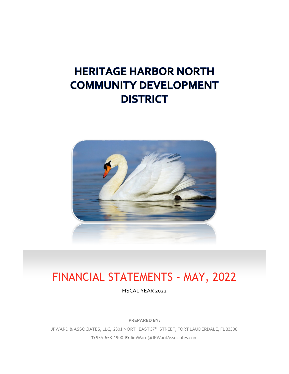# **HERITAGE HARBOR NORTH COMMUNITY DEVELOPMENT DISTRICT**



# FINANCIAL STATEMENTS – MAY, 2022

FISCAL YEAR 2022

**PREPARED BY:**

JPWARD & ASSOCIATES, LLC, 2301 NORTHEAST 37TH STREET, FORT LAUDERDALE, FL 33308 **T:** 954-658-4900 **E:** JimWard@JPWardAssociates.com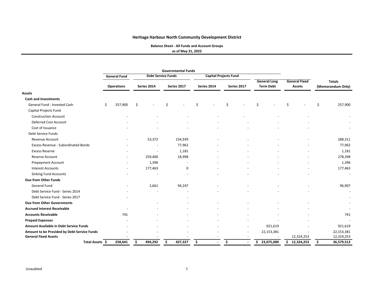**Balance Sheet ‐ All Funds and Account Groups**

**as of May 31, 2022**

|                                               |                     |    |                           |   | <b>Governmental Funds</b> |    |                              |                      |    |                     |                      |            |    |                          |
|-----------------------------------------------|---------------------|----|---------------------------|---|---------------------------|----|------------------------------|----------------------|----|---------------------|----------------------|------------|----|--------------------------|
|                                               | <b>General Fund</b> |    | <b>Debt Service Funds</b> |   |                           |    | <b>Capital Projects Fund</b> |                      |    |                     |                      |            |    |                          |
|                                               |                     |    |                           |   |                           |    |                              |                      |    | <b>General Long</b> | <b>General Fixed</b> |            |    | <b>Totals</b>            |
|                                               | <b>Operations</b>   |    | Series 2014               |   | Series 2017               |    | Series 2014                  | Series 2017          |    | <b>Term Debt</b>    | <b>Assets</b>        |            |    | (Memorandum Only)        |
| <b>Assets</b>                                 |                     |    |                           |   |                           |    |                              |                      |    |                     |                      |            |    |                          |
| <b>Cash and Investments</b>                   |                     |    |                           |   |                           |    |                              |                      |    |                     |                      |            |    |                          |
| General Fund - Invested Cash                  | \$<br>257,900       | \$ |                           | Ś |                           | Ś. |                              | \$                   | Ś  |                     | Ś                    |            | Ś. | 257,900                  |
| Capital Projects Fund                         |                     |    |                           |   |                           |    |                              |                      |    |                     |                      |            |    |                          |
| <b>Construction Account</b>                   |                     |    |                           |   |                           |    |                              |                      |    |                     |                      |            |    |                          |
| <b>Deferred Cost Account</b>                  |                     |    |                           |   |                           |    |                              |                      |    |                     |                      |            |    |                          |
| Cost of Issuance                              |                     |    |                           |   |                           |    |                              |                      |    |                     |                      |            |    |                          |
| Debt Service Funds                            |                     |    |                           |   |                           |    |                              |                      |    |                     |                      |            |    |                          |
| Revenue Account                               |                     |    | 53,372                    |   | 234,939                   |    |                              |                      |    |                     |                      |            |    | 288,311                  |
| Excess Revenue - Subordinated Bonds           |                     |    |                           |   | 77,962                    |    |                              |                      |    |                     |                      |            |    | 77,962                   |
| <b>Excess Reserve</b>                         |                     |    |                           |   | 1,181                     |    |                              |                      |    |                     |                      |            |    | 1,181                    |
| Reserve Account                               |                     |    | 259,400                   |   | 18,998                    |    |                              |                      |    |                     |                      |            |    | 278,398                  |
| <b>Prepayment Account</b>                     |                     |    | 1,396                     |   |                           |    |                              |                      |    |                     |                      |            |    | 1,396                    |
| <b>Interest Accounts</b>                      |                     |    | 177,463                   |   | 0                         |    |                              |                      |    |                     |                      |            |    | 177,463                  |
| <b>Sinking Fund Accounts</b>                  |                     |    |                           |   |                           |    |                              |                      |    |                     |                      |            |    | $\overline{\phantom{a}}$ |
| <b>Due from Other Funds</b>                   |                     |    |                           |   |                           |    |                              |                      |    |                     |                      |            |    |                          |
| General Fund                                  |                     |    | 2,661                     |   | 94,247                    |    |                              |                      |    |                     |                      |            |    | 96,907                   |
| Debt Service Fund - Series 2014               |                     |    |                           |   |                           |    |                              |                      |    |                     |                      |            |    | $\overline{\phantom{a}}$ |
| Debt Service Fund - Series 2017               |                     |    |                           |   |                           |    |                              |                      |    |                     |                      |            |    |                          |
| <b>Due from Other Governments</b>             |                     |    |                           |   |                           |    |                              |                      |    |                     |                      |            |    |                          |
| <b>Accrued Interest Receivable</b>            |                     |    |                           |   |                           |    |                              |                      |    |                     |                      |            |    |                          |
| <b>Accounts Receivable</b>                    | 741                 |    |                           |   |                           |    |                              |                      |    |                     |                      |            |    | 741                      |
| <b>Prepaid Expenses</b>                       |                     |    |                           |   |                           |    |                              |                      |    |                     |                      |            |    |                          |
| <b>Amount Available in Debt Service Funds</b> |                     |    |                           |   |                           |    |                              |                      |    | 921,619             |                      |            |    | 921,619                  |
| Amount to be Provided by Debt Service Funds   |                     |    |                           |   |                           |    |                              |                      |    | 22,153,381          |                      |            |    | 22,153,381               |
| <b>General Fixed Assets</b>                   |                     |    |                           |   |                           |    |                              |                      |    |                     |                      | 12,324,253 |    | 12,324,253               |
| Total Assets \$                               | 258,641             | Ś  | 494,292                   | Ś | 427,327                   | \$ | $\blacksquare$               | \$<br>$\blacksquare$ | \$ | 23,075,000          | \$12,324,253         |            | Ś  | 36,579,512               |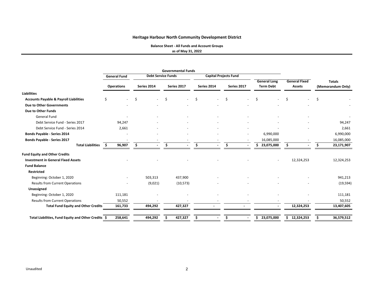**Balance Sheet ‐ All Funds and Account Groups**

**as of May 31, 2022**

|                                                     |      |                     |    |                           |     | <b>Governmental Funds</b> |    |                              |     |                          |                                         |                                       |   |                                    |
|-----------------------------------------------------|------|---------------------|----|---------------------------|-----|---------------------------|----|------------------------------|-----|--------------------------|-----------------------------------------|---------------------------------------|---|------------------------------------|
|                                                     |      | <b>General Fund</b> |    | <b>Debt Service Funds</b> |     |                           |    | <b>Capital Projects Fund</b> |     |                          |                                         |                                       |   |                                    |
|                                                     |      | <b>Operations</b>   |    | Series 2014               |     | Series 2017               |    | Series 2014                  |     | Series 2017              | <b>General Long</b><br><b>Term Debt</b> | <b>General Fixed</b><br><b>Assets</b> |   | <b>Totals</b><br>(Memorandum Only) |
| <b>Liabilities</b>                                  |      |                     |    |                           |     |                           |    |                              |     |                          |                                         |                                       |   |                                    |
| <b>Accounts Payable &amp; Payroll Liabilities</b>   | Ś    |                     | Ŝ. |                           | \$  |                           | \$ |                              | Ś.  | $\overline{\phantom{a}}$ | Ś.                                      | Ś                                     | Ś |                                    |
| Due to Other Governments                            |      |                     |    |                           |     |                           |    |                              |     |                          |                                         |                                       |   |                                    |
| Due to Other Funds                                  |      |                     |    |                           |     |                           |    |                              |     |                          |                                         |                                       |   |                                    |
| <b>General Fund</b>                                 |      |                     |    |                           |     |                           |    |                              |     |                          |                                         |                                       |   |                                    |
| Debt Service Fund - Series 2017                     |      | 94,247              |    |                           |     |                           |    |                              |     |                          |                                         |                                       |   | 94,247                             |
| Debt Service Fund - Series 2014                     |      | 2,661               |    |                           |     |                           |    |                              |     |                          |                                         |                                       |   | 2,661                              |
| Bonds Payable - Series 2014                         |      |                     |    |                           |     |                           |    |                              |     |                          | 6,990,000                               |                                       |   | 6,990,000                          |
| <b>Bonds Payable - Series 2017</b>                  |      |                     |    |                           |     |                           |    |                              |     |                          | 16,085,000                              |                                       |   | 16,085,000                         |
| <b>Total Liabilities</b>                            | - \$ | 96,907              |    |                           | \$. |                           | Ŝ. |                              | \$. |                          | 23,075,000<br>\$.                       |                                       |   | 23,171,907                         |
| <b>Fund Equity and Other Credits</b>                |      |                     |    |                           |     |                           |    |                              |     |                          |                                         |                                       |   |                                    |
| <b>Investment in General Fixed Assets</b>           |      |                     |    |                           |     |                           |    |                              |     |                          |                                         | 12,324,253                            |   | 12,324,253                         |
| <b>Fund Balance</b>                                 |      |                     |    |                           |     |                           |    |                              |     |                          |                                         |                                       |   |                                    |
| <b>Restricted</b>                                   |      |                     |    |                           |     |                           |    |                              |     |                          |                                         |                                       |   |                                    |
| Beginning: October 1, 2020                          |      |                     |    | 503,313                   |     | 437,900                   |    |                              |     |                          |                                         |                                       |   | 941,213                            |
| <b>Results from Current Operations</b>              |      |                     |    | (9,021)                   |     | (10, 573)                 |    |                              |     |                          |                                         |                                       |   | (19, 594)                          |
| Unassigned                                          |      |                     |    |                           |     |                           |    |                              |     |                          |                                         |                                       |   |                                    |
| Beginning: October 1, 2020                          |      | 111,181             |    |                           |     |                           |    |                              |     |                          |                                         |                                       |   | 111,181                            |
| <b>Results from Current Operations</b>              |      | 50,552              |    |                           |     |                           |    |                              |     |                          |                                         |                                       |   | 50,552                             |
| <b>Total Fund Equity and Other Credits</b>          |      | 161,733             |    | 494,292                   |     | 427,327                   |    |                              |     |                          |                                         | 12,324,253                            |   | 13,407,605                         |
| Total Liabilities, Fund Equity and Other Credits \$ |      | 258,641             |    | 494,292                   |     | 427,327                   | Ś  |                              | Ś.  |                          | \$<br>23,075,000                        | 12,324,253<br>\$.                     |   | 36,579,512                         |
|                                                     |      |                     |    |                           |     |                           |    |                              |     |                          |                                         |                                       |   |                                    |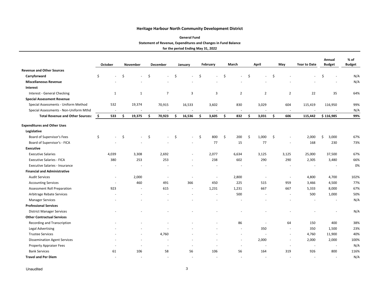#### **General Fund**

#### **Statement of Revenue, Expenditures and Changes in Fund Balance**

**for the period Ending May 31, 2022**

|                                         | October                  |    | November                 |     | December                 |    | January | February             |    | March          |    | April          |     | May                      | <b>Year to Date</b>      | Annual<br><b>Budget</b> | $%$ of<br><b>Budget</b> |
|-----------------------------------------|--------------------------|----|--------------------------|-----|--------------------------|----|---------|----------------------|----|----------------|----|----------------|-----|--------------------------|--------------------------|-------------------------|-------------------------|
| <b>Revenue and Other Sources</b>        |                          |    |                          |     |                          |    |         |                      |    |                |    |                |     |                          |                          |                         |                         |
| Carryforward                            | \$                       | \$ |                          | Ś   |                          | \$ |         | \$                   | Ś  |                | Ś. |                | \$  |                          |                          | \$<br>ä,                | N/A                     |
| <b>Miscellaneous Revenue</b>            |                          |    |                          |     |                          |    |         |                      |    |                |    |                |     |                          |                          |                         | N/A                     |
| Interest                                |                          |    |                          |     |                          |    |         |                      |    |                |    |                |     |                          |                          |                         |                         |
| <b>Interest - General Checking</b>      | 1                        |    | $\mathbf{1}$             |     | $\overline{7}$           |    | 3       | 3                    |    | $\overline{2}$ |    | $\overline{2}$ |     | $\overline{2}$           | 22                       | 35                      | 64%                     |
| <b>Special Assessment Revenue</b>       |                          |    |                          |     |                          |    |         |                      |    |                |    |                |     |                          |                          |                         |                         |
| Special Assessments - Uniform Method    | 532                      |    | 19,374                   |     | 70,915                   |    | 16,533  | 3,602                |    | 830            |    | 3,029          |     | 604                      | 115,419                  | 116,950                 | 99%                     |
| Special Assessments - Non-Uniform Mthd  | $\overline{\phantom{a}}$ |    | $\sim$                   |     | $\sim$                   |    |         | $\sim$               |    | $\sim$         |    | $\overline{a}$ |     | $\sim$                   |                          |                         | N/A                     |
| <b>Total Revenue and Other Sources:</b> | \$<br>533                | Ŝ. | 19,375                   | \$. | 70,923                   | \$ | 16,536  | \$<br>3,605          | \$ | 832            | \$ | 3,031          | \$  | 606                      | 115,442                  | \$116,985               | 99%                     |
| <b>Expenditures and Other Uses</b>      |                          |    |                          |     |                          |    |         |                      |    |                |    |                |     |                          |                          |                         |                         |
| Legislative                             |                          |    |                          |     |                          |    |         |                      |    |                |    |                |     |                          |                          |                         |                         |
| Board of Supervisor's Fees              | \$<br>$\overline{a}$     | \$ | $\sim$                   | Ŝ.  | ÷                        | Ŝ. |         | \$<br>800            | \$ | 200            | \$ | 1,000          | -\$ | $\sim$                   | 2,000                    | 3,000<br>\$             | 67%                     |
| Board of Supervisor's - FICA            |                          |    |                          |     |                          |    |         | 77                   |    | 15             |    | 77             |     |                          | 168                      | 230                     | 73%                     |
| <b>Executive</b>                        |                          |    |                          |     |                          |    |         |                      |    |                |    |                |     |                          |                          |                         |                         |
| <b>Executive Salaries</b>               | 4,039                    |    | 3,308                    |     | 2,692                    |    |         | 2,077                |    | 6,634          |    | 3,125          |     | 3,125                    | 25,000                   | 37,500                  | 67%                     |
| <b>Executive Salaries - FICA</b>        | 380                      |    | 253                      |     | 253                      |    |         | 238                  |    | 602            |    | 290            |     | 290                      | 2,305                    | 3,480                   | 66%                     |
| <b>Executive Salaries - Insurance</b>   |                          |    |                          |     |                          |    |         |                      |    |                |    |                |     |                          |                          |                         | 0%                      |
| <b>Financial and Administrative</b>     |                          |    |                          |     |                          |    |         |                      |    |                |    |                |     |                          |                          |                         |                         |
| <b>Audit Services</b>                   | $\sim$                   |    | 2,000                    |     | $\overline{\phantom{a}}$ |    |         | ÷,                   |    | 2,800          |    |                |     | $\overline{\phantom{a}}$ | 4,800                    | 4,700                   | 102%                    |
| <b>Accounting Services</b>              | $\sim$                   |    | 460                      |     | 491                      |    | 366     | 450                  |    | 225            |    | 515            |     | 959                      | 3,466                    | 4,500                   | 77%                     |
| <b>Assessment Roll Preparation</b>      | 923                      |    | $\overline{\phantom{a}}$ |     | 615                      |    |         | 1,231                |    | 1,231          |    | 667            |     | 667                      | 5,333                    | 8,000                   | 67%                     |
| Arbitrage Rebate Services               |                          |    |                          |     |                          |    |         | $\ddot{\phantom{1}}$ |    | 500            |    |                |     | $\sim$                   | 500                      | 1,000                   | 50%                     |
| <b>Manager Services</b>                 |                          |    |                          |     |                          |    |         |                      |    |                |    |                |     |                          |                          |                         | N/A                     |
| <b>Professional Services</b>            |                          |    |                          |     |                          |    |         |                      |    |                |    |                |     |                          |                          |                         |                         |
| <b>District Manager Services</b>        |                          |    |                          |     |                          |    |         |                      |    |                |    |                |     |                          |                          |                         | N/A                     |
| <b>Other Contractual Services</b>       |                          |    |                          |     |                          |    |         |                      |    |                |    |                |     |                          |                          |                         |                         |
| Recording and Transcription             |                          |    |                          |     |                          |    |         |                      |    | 86             |    |                |     | 64                       | 150                      | 400                     | 38%                     |
| <b>Legal Advertising</b>                |                          |    |                          |     |                          |    |         |                      |    | $\sim$         |    | 350            |     | $\sim$                   | 350                      | 1,500                   | 23%                     |
| <b>Trustee Services</b>                 |                          |    |                          |     | 4,760                    |    |         |                      |    |                |    |                |     | $\sim$                   | 4,760                    | 11,900                  | 40%                     |
| <b>Dissemination Agent Services</b>     |                          |    |                          |     |                          |    |         |                      |    |                |    | 2,000          |     |                          | 2,000                    | 2,000                   | 100%                    |
| Property Appraiser Fees                 |                          |    |                          |     | $\sim$                   |    |         |                      |    |                |    |                |     | $\sim$                   |                          | $\sim$                  | N/A                     |
| <b>Bank Services</b>                    | 61                       |    | 106                      |     | 58                       |    | 56      | 106                  |    | 56             |    | 164            |     | 319                      | 926                      | 800                     | 116%                    |
| <b>Travel and Per Diem</b>              |                          |    | $\sim$                   |     | ä,                       |    |         |                      |    |                |    |                |     |                          | $\overline{\phantom{a}}$ | ä,                      | N/A                     |

Unaudited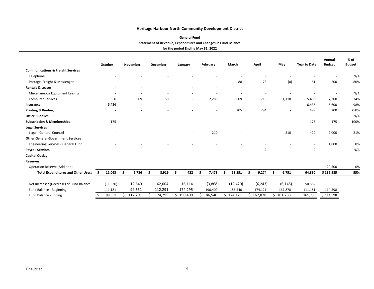#### **General Fund**

### **Statement of Revenue, Expenditures and Changes in Fund Balance**

|                                              |     | October                  | November | December |   | January                  | February                 |    | March                    | April          |    | May      | <b>Year to Date</b>      | Annual<br><b>Budget</b>  | % of<br><b>Budget</b> |
|----------------------------------------------|-----|--------------------------|----------|----------|---|--------------------------|--------------------------|----|--------------------------|----------------|----|----------|--------------------------|--------------------------|-----------------------|
| <b>Communications &amp; Freight Services</b> |     |                          |          |          |   |                          |                          |    |                          |                |    |          |                          |                          |                       |
| Telephone                                    |     |                          |          |          |   |                          |                          |    |                          |                |    |          |                          | $\overline{\phantom{a}}$ | N/A                   |
| Postage, Freight & Messenger                 |     |                          |          |          |   |                          | $\overline{\phantom{a}}$ |    | 88                       | 73             |    | (0)      | 161                      | 200                      | 80%                   |
| <b>Rentals &amp; Leases</b>                  |     |                          |          |          |   |                          |                          |    | $\overline{\phantom{a}}$ |                |    | ٠        | $\overline{\phantom{a}}$ |                          |                       |
| Miscellaneous Equipment Leasing              |     |                          |          |          |   |                          |                          |    |                          |                |    |          |                          | $\overline{\phantom{a}}$ | N/A                   |
| <b>Computer Services</b>                     |     | 50                       | 609      | 50       |   | $\overline{\phantom{a}}$ | 2,285                    |    | 609                      | 718            |    | 1,118    | 5,438                    | 7,300                    | 74%                   |
| Insurance                                    |     | 6,436                    |          |          |   |                          |                          |    |                          |                |    | ٠        | 6,436                    | 6,600                    | 98%                   |
| <b>Printing &amp; Binding</b>                |     | $\overline{\phantom{0}}$ |          |          |   |                          | $\sim$                   |    | 205                      | 294            |    | ٠        | 499                      | 200                      | 250%                  |
| <b>Office Supplies</b>                       |     |                          |          |          |   |                          |                          |    |                          |                |    |          |                          | $\overline{\phantom{a}}$ | N/A                   |
| <b>Subscription &amp; Memberships</b>        |     | 175                      |          |          |   |                          |                          |    |                          |                |    |          | 175                      | 175                      | 100%                  |
| <b>Legal Services</b>                        |     |                          |          |          |   |                          |                          |    |                          |                |    |          |                          |                          |                       |
| Legal - General Counsel                      |     |                          |          |          |   | $\overline{\phantom{a}}$ | 210                      |    |                          | $\sim$         |    | 210      | 420                      | 2,000                    | 21%                   |
| <b>Other General Government Services</b>     |     |                          |          |          |   |                          |                          |    |                          |                |    |          |                          |                          |                       |
| <b>Engineering Services - General Fund</b>   |     |                          |          |          |   |                          |                          |    |                          |                |    |          | $\overline{\phantom{a}}$ | 1,000                    | 0%                    |
| <b>Payroll Services</b>                      |     |                          |          |          |   |                          |                          |    |                          | $\overline{2}$ |    |          | $\overline{2}$           | ٠                        | N/A                   |
| <b>Capital Outlay</b>                        |     |                          |          |          |   |                          |                          |    |                          |                |    |          |                          |                          |                       |
| <b>Reserves</b>                              |     |                          |          |          |   |                          |                          |    |                          |                |    |          |                          |                          |                       |
| Operation Reserve (Addition)                 |     |                          |          |          |   |                          |                          |    |                          |                |    |          |                          | 20,500                   | 0%                    |
| <b>Total Expenditures and Other Uses:</b>    | \$. | 12,063                   | 6,736    | 8,919    | S | 422                      | 7,473                    |    | 13,251                   | 9,274          | Ŝ. | 6,751    | 64,890                   | \$116,985                | 55%                   |
| Net Increase/ (Decrease) of Fund Balance     |     | (11, 530)                | 12,640   | 62,004   |   | 16,114                   | (3,868)                  |    | (12, 420)                | (6, 243)       |    | (6, 145) | 50,552                   |                          |                       |
| Fund Balance - Beginning                     |     | 111,181                  | 99,651   | 112,291  |   | 174,295                  | 190,409                  |    | 186,540                  | 174,121        |    | 167,878  | 111,181                  | 114,598                  |                       |
| Fund Balance - Ending                        |     | 99,651                   | 112,291  | 174,295  | Ś | 190,409                  | \$<br>186,540            | Ś. | 174,121                  | 167,878        | Ś. | 161,733  | 161,733                  | \$114,598                |                       |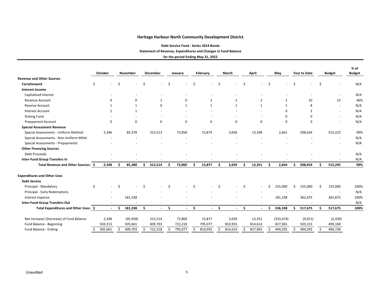**Debt Service Fund ‐ Series 2014 Bonds**

**Statement of Revenue, Expenditures and Changes in Fund Balance**

| <b>Revenue and Other Sources</b><br>Ś<br>Carryforward<br>Ś<br>Ś<br>Ś<br>.S<br>Ŝ<br>S<br><b>Interest Income</b><br>Capitalized Interest<br>22<br>Revenue Account<br>$\mathbf 0$<br>$\mathbf 0$<br>$\overline{2}$<br>$\overline{2}$<br>2<br>$\overline{2}$<br>10<br>1<br><b>Reserve Account</b><br>$\Omega$<br>$\mathbf{1}$<br>8<br>$\mathbf{1}$<br>$\mathbf{1}$<br>$\mathbf{1}$<br>$\mathbf{1}$<br>1<br>1<br><b>Interest Account</b><br>$\Omega$<br>2<br>$\mathbf{1}$<br>$\mathbf{1}$<br>Sinking Fund<br>$\Omega$<br>$\Omega$<br>$\mathbf 0$<br>$\Omega$<br>$\mathbf 0$<br>$\Omega$<br>$\mathbf 0$<br><b>Prepayment Account</b><br>$\Omega$<br>0<br>0<br>$\Omega$<br><b>Special Assessment Revenue</b><br>Special Assessments - Uniform Method<br>72,858<br>2,661<br>2,346<br>85,378<br>312,513<br>15,874<br>3,656<br>13,348<br>508,634<br>515,223<br>Special Assessments - Non-Uniform Mthd<br>Special Assessments - Prepayments<br><b>Other Financing Sources</b><br><b>Debt Proceeds</b><br><b>Inter-Fund Group Transfers In</b><br>Ŝ.<br>Total Revenue and Other Sources: \$<br>2,348<br>85,380<br>Ś.<br>312,514<br>72,860<br>15,877<br>Ś.<br>3,659<br>13,351<br>2,664<br>508,654<br>Ŝ.<br>Ŝ<br>Ś.<br>515,245<br>S<br><b>Expenditures and Other Uses</b><br><b>Debt Service</b><br>Principal - Mandatory<br>Ś<br>Ŝ.<br>\$<br>155,000<br>155,000<br>155,000<br>Ŝ.<br>\$.<br>Ŝ.<br>Ś<br>Principal - Early Redemptions<br>181,338<br>181,338<br>362,675<br>362,675<br>Interest Expense<br><b>Inter-Fund Group Transfers Out</b><br>$\overline{\phantom{a}}$<br>$\overline{\phantom{a}}$<br>$\overline{a}$<br>Total Expenditures and Other Uses: \$<br>181,338<br>336,338<br>\$<br>Ŝ.<br>Ś.<br>Ś.<br>\$<br>517,675<br>517,675<br>ς<br>$\blacksquare$<br>$\sim$<br>$\sim$<br>$\sim$<br>$\sim$<br>Net Increase/ (Decrease) of Fund Balance<br>15,877<br>(333, 674)<br>2,348<br>(95, 958)<br>312,514<br>72,860<br>3,659<br>13,351<br>(9,021)<br>(2, 430) |                          | October | November | December | January | February | March   | April   | May     | <b>Year to Date</b> | <b>Budget</b> | % of<br><b>Budget</b> |
|------------------------------------------------------------------------------------------------------------------------------------------------------------------------------------------------------------------------------------------------------------------------------------------------------------------------------------------------------------------------------------------------------------------------------------------------------------------------------------------------------------------------------------------------------------------------------------------------------------------------------------------------------------------------------------------------------------------------------------------------------------------------------------------------------------------------------------------------------------------------------------------------------------------------------------------------------------------------------------------------------------------------------------------------------------------------------------------------------------------------------------------------------------------------------------------------------------------------------------------------------------------------------------------------------------------------------------------------------------------------------------------------------------------------------------------------------------------------------------------------------------------------------------------------------------------------------------------------------------------------------------------------------------------------------------------------------------------------------------------------------------------------------------------------------------------------------------------------------------------------------------------------------------------------------------------------------|--------------------------|---------|----------|----------|---------|----------|---------|---------|---------|---------------------|---------------|-----------------------|
|                                                                                                                                                                                                                                                                                                                                                                                                                                                                                                                                                                                                                                                                                                                                                                                                                                                                                                                                                                                                                                                                                                                                                                                                                                                                                                                                                                                                                                                                                                                                                                                                                                                                                                                                                                                                                                                                                                                                                      |                          |         |          |          |         |          |         |         |         |                     |               |                       |
|                                                                                                                                                                                                                                                                                                                                                                                                                                                                                                                                                                                                                                                                                                                                                                                                                                                                                                                                                                                                                                                                                                                                                                                                                                                                                                                                                                                                                                                                                                                                                                                                                                                                                                                                                                                                                                                                                                                                                      |                          |         |          |          |         |          |         |         |         |                     |               | N/A                   |
|                                                                                                                                                                                                                                                                                                                                                                                                                                                                                                                                                                                                                                                                                                                                                                                                                                                                                                                                                                                                                                                                                                                                                                                                                                                                                                                                                                                                                                                                                                                                                                                                                                                                                                                                                                                                                                                                                                                                                      |                          |         |          |          |         |          |         |         |         |                     |               |                       |
|                                                                                                                                                                                                                                                                                                                                                                                                                                                                                                                                                                                                                                                                                                                                                                                                                                                                                                                                                                                                                                                                                                                                                                                                                                                                                                                                                                                                                                                                                                                                                                                                                                                                                                                                                                                                                                                                                                                                                      |                          |         |          |          |         |          |         |         |         |                     |               | N/A                   |
|                                                                                                                                                                                                                                                                                                                                                                                                                                                                                                                                                                                                                                                                                                                                                                                                                                                                                                                                                                                                                                                                                                                                                                                                                                                                                                                                                                                                                                                                                                                                                                                                                                                                                                                                                                                                                                                                                                                                                      |                          |         |          |          |         |          |         |         |         |                     |               | 46%                   |
|                                                                                                                                                                                                                                                                                                                                                                                                                                                                                                                                                                                                                                                                                                                                                                                                                                                                                                                                                                                                                                                                                                                                                                                                                                                                                                                                                                                                                                                                                                                                                                                                                                                                                                                                                                                                                                                                                                                                                      |                          |         |          |          |         |          |         |         |         |                     |               | N/A                   |
|                                                                                                                                                                                                                                                                                                                                                                                                                                                                                                                                                                                                                                                                                                                                                                                                                                                                                                                                                                                                                                                                                                                                                                                                                                                                                                                                                                                                                                                                                                                                                                                                                                                                                                                                                                                                                                                                                                                                                      |                          |         |          |          |         |          |         |         |         |                     |               | N/A                   |
|                                                                                                                                                                                                                                                                                                                                                                                                                                                                                                                                                                                                                                                                                                                                                                                                                                                                                                                                                                                                                                                                                                                                                                                                                                                                                                                                                                                                                                                                                                                                                                                                                                                                                                                                                                                                                                                                                                                                                      |                          |         |          |          |         |          |         |         |         |                     |               | N/A                   |
|                                                                                                                                                                                                                                                                                                                                                                                                                                                                                                                                                                                                                                                                                                                                                                                                                                                                                                                                                                                                                                                                                                                                                                                                                                                                                                                                                                                                                                                                                                                                                                                                                                                                                                                                                                                                                                                                                                                                                      |                          |         |          |          |         |          |         |         |         |                     |               | N/A                   |
|                                                                                                                                                                                                                                                                                                                                                                                                                                                                                                                                                                                                                                                                                                                                                                                                                                                                                                                                                                                                                                                                                                                                                                                                                                                                                                                                                                                                                                                                                                                                                                                                                                                                                                                                                                                                                                                                                                                                                      |                          |         |          |          |         |          |         |         |         |                     |               |                       |
|                                                                                                                                                                                                                                                                                                                                                                                                                                                                                                                                                                                                                                                                                                                                                                                                                                                                                                                                                                                                                                                                                                                                                                                                                                                                                                                                                                                                                                                                                                                                                                                                                                                                                                                                                                                                                                                                                                                                                      |                          |         |          |          |         |          |         |         |         |                     |               | 99%                   |
|                                                                                                                                                                                                                                                                                                                                                                                                                                                                                                                                                                                                                                                                                                                                                                                                                                                                                                                                                                                                                                                                                                                                                                                                                                                                                                                                                                                                                                                                                                                                                                                                                                                                                                                                                                                                                                                                                                                                                      |                          |         |          |          |         |          |         |         |         |                     |               | N/A                   |
|                                                                                                                                                                                                                                                                                                                                                                                                                                                                                                                                                                                                                                                                                                                                                                                                                                                                                                                                                                                                                                                                                                                                                                                                                                                                                                                                                                                                                                                                                                                                                                                                                                                                                                                                                                                                                                                                                                                                                      |                          |         |          |          |         |          |         |         |         |                     |               | N/A                   |
|                                                                                                                                                                                                                                                                                                                                                                                                                                                                                                                                                                                                                                                                                                                                                                                                                                                                                                                                                                                                                                                                                                                                                                                                                                                                                                                                                                                                                                                                                                                                                                                                                                                                                                                                                                                                                                                                                                                                                      |                          |         |          |          |         |          |         |         |         |                     |               |                       |
|                                                                                                                                                                                                                                                                                                                                                                                                                                                                                                                                                                                                                                                                                                                                                                                                                                                                                                                                                                                                                                                                                                                                                                                                                                                                                                                                                                                                                                                                                                                                                                                                                                                                                                                                                                                                                                                                                                                                                      |                          |         |          |          |         |          |         |         |         |                     |               | N/A                   |
|                                                                                                                                                                                                                                                                                                                                                                                                                                                                                                                                                                                                                                                                                                                                                                                                                                                                                                                                                                                                                                                                                                                                                                                                                                                                                                                                                                                                                                                                                                                                                                                                                                                                                                                                                                                                                                                                                                                                                      |                          |         |          |          |         |          |         |         |         |                     |               | N/A                   |
|                                                                                                                                                                                                                                                                                                                                                                                                                                                                                                                                                                                                                                                                                                                                                                                                                                                                                                                                                                                                                                                                                                                                                                                                                                                                                                                                                                                                                                                                                                                                                                                                                                                                                                                                                                                                                                                                                                                                                      |                          |         |          |          |         |          |         |         |         |                     |               | 99%                   |
|                                                                                                                                                                                                                                                                                                                                                                                                                                                                                                                                                                                                                                                                                                                                                                                                                                                                                                                                                                                                                                                                                                                                                                                                                                                                                                                                                                                                                                                                                                                                                                                                                                                                                                                                                                                                                                                                                                                                                      |                          |         |          |          |         |          |         |         |         |                     |               |                       |
|                                                                                                                                                                                                                                                                                                                                                                                                                                                                                                                                                                                                                                                                                                                                                                                                                                                                                                                                                                                                                                                                                                                                                                                                                                                                                                                                                                                                                                                                                                                                                                                                                                                                                                                                                                                                                                                                                                                                                      |                          |         |          |          |         |          |         |         |         |                     |               |                       |
|                                                                                                                                                                                                                                                                                                                                                                                                                                                                                                                                                                                                                                                                                                                                                                                                                                                                                                                                                                                                                                                                                                                                                                                                                                                                                                                                                                                                                                                                                                                                                                                                                                                                                                                                                                                                                                                                                                                                                      |                          |         |          |          |         |          |         |         |         |                     |               | 100%                  |
|                                                                                                                                                                                                                                                                                                                                                                                                                                                                                                                                                                                                                                                                                                                                                                                                                                                                                                                                                                                                                                                                                                                                                                                                                                                                                                                                                                                                                                                                                                                                                                                                                                                                                                                                                                                                                                                                                                                                                      |                          |         |          |          |         |          |         |         |         |                     |               | N/A                   |
|                                                                                                                                                                                                                                                                                                                                                                                                                                                                                                                                                                                                                                                                                                                                                                                                                                                                                                                                                                                                                                                                                                                                                                                                                                                                                                                                                                                                                                                                                                                                                                                                                                                                                                                                                                                                                                                                                                                                                      |                          |         |          |          |         |          |         |         |         |                     |               | 100%                  |
|                                                                                                                                                                                                                                                                                                                                                                                                                                                                                                                                                                                                                                                                                                                                                                                                                                                                                                                                                                                                                                                                                                                                                                                                                                                                                                                                                                                                                                                                                                                                                                                                                                                                                                                                                                                                                                                                                                                                                      |                          |         |          |          |         |          |         |         |         |                     |               | N/A                   |
|                                                                                                                                                                                                                                                                                                                                                                                                                                                                                                                                                                                                                                                                                                                                                                                                                                                                                                                                                                                                                                                                                                                                                                                                                                                                                                                                                                                                                                                                                                                                                                                                                                                                                                                                                                                                                                                                                                                                                      |                          |         |          |          |         |          |         |         |         |                     |               | 100%                  |
|                                                                                                                                                                                                                                                                                                                                                                                                                                                                                                                                                                                                                                                                                                                                                                                                                                                                                                                                                                                                                                                                                                                                                                                                                                                                                                                                                                                                                                                                                                                                                                                                                                                                                                                                                                                                                                                                                                                                                      |                          |         |          |          |         |          |         |         |         |                     |               |                       |
|                                                                                                                                                                                                                                                                                                                                                                                                                                                                                                                                                                                                                                                                                                                                                                                                                                                                                                                                                                                                                                                                                                                                                                                                                                                                                                                                                                                                                                                                                                                                                                                                                                                                                                                                                                                                                                                                                                                                                      | Fund Balance - Beginning | 503,313 | 505,661  | 409,703  | 722,218 | 795,077  | 810,955 | 814,614 | 827,965 | 503,313             | 499,168       |                       |
| Fund Balance - Ending<br>505,661<br>409,703<br>722,218<br>795,077<br>810,955<br>814,614<br>827,965<br>494,292<br>494,292<br>496,738                                                                                                                                                                                                                                                                                                                                                                                                                                                                                                                                                                                                                                                                                                                                                                                                                                                                                                                                                                                                                                                                                                                                                                                                                                                                                                                                                                                                                                                                                                                                                                                                                                                                                                                                                                                                                  |                          |         |          |          |         |          |         |         |         |                     |               |                       |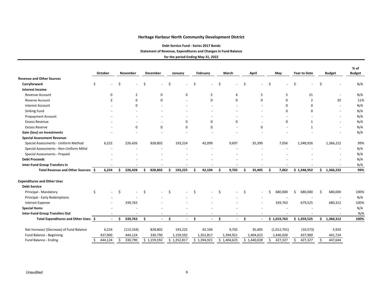**Debt Service Fund ‐ Series 2017 Bonds**

**Statement of Revenue, Expenditures and Changes in Fund Balance**

|                                          | October      |    | November       |    | December    |    | January     |    | February    |    | March       |     | April       |    | May         | Year to Date |    | <b>Budget</b>            | % of<br><b>Budget</b> |
|------------------------------------------|--------------|----|----------------|----|-------------|----|-------------|----|-------------|----|-------------|-----|-------------|----|-------------|--------------|----|--------------------------|-----------------------|
| <b>Revenue and Other Sources</b>         |              |    |                |    |             |    |             |    |             |    |             |     |             |    |             |              |    |                          |                       |
| Carryforward                             | S            | Ś  |                | Ś  |             | Ś  |             | Ś  |             | Ś. |             | \$  |             | Ś  |             |              | Ś  |                          | N/A                   |
| <b>Interest Income</b>                   |              |    |                |    |             |    |             |    |             |    |             |     |             |    |             |              |    |                          |                       |
| <b>Revenue Account</b>                   | 0            |    | $\overline{2}$ |    | $\mathbf 0$ |    | 0           |    | 5           |    | 4           |     | 5           |    | 5           | 21           |    | $\overline{\phantom{a}}$ | N/A                   |
| Reserve Account                          | 2            |    | $\Omega$       |    | $\Omega$    |    |             |    | $\Omega$    |    | 0           |     | $\Omega$    |    | $\Omega$    | 2            |    | 20                       | 11%                   |
| <b>Interest Account</b>                  |              |    | $\Omega$       |    |             |    |             |    |             |    |             |     |             |    | $\Omega$    | $\Omega$     |    | $\sim$                   | N/A                   |
| Sinking Fund                             |              |    |                |    |             |    |             |    |             |    |             |     |             |    | $\Omega$    | O            |    | $\blacksquare$           | N/A                   |
| <b>Prepayment Account</b>                |              |    |                |    |             |    |             |    |             |    |             |     |             |    |             |              |    | $\blacksquare$           | N/A                   |
| <b>Excess Revenue</b>                    |              |    |                |    |             |    | 0           |    | $\Omega$    |    | $\Omega$    |     |             |    | 0           | 1            |    |                          | N/A                   |
| <b>Excess Reserve</b>                    |              |    | $\Omega$       |    | $\Omega$    |    | $\Omega$    |    | $\Omega$    |    |             |     | $\mathbf 0$ |    |             | 1            |    | $\blacksquare$           | N/A                   |
| Gain (loss) on Investments               |              |    |                |    |             |    |             |    |             |    |             |     |             |    |             |              |    |                          | N/A                   |
| <b>Special Assessment Revenue</b>        |              |    |                |    |             |    |             |    |             |    |             |     |             |    |             |              |    |                          |                       |
| Special Assessments - Uniform Method     | 6,222        |    | 226,426        |    | 828,802     |    | 193,224     |    | 42,099      |    | 9,697       |     | 35,399      |    | 7,056       | 1,348,926    |    | 1,366,212                | 99%                   |
| Special Assessments - Non-Uniform Mthd   |              |    |                |    |             |    |             |    |             |    |             |     |             |    |             |              |    |                          | N/A                   |
| Special Assessments - Prepaid            |              |    |                |    |             |    |             |    |             |    |             |     |             |    |             |              |    |                          | N/A                   |
| <b>Debt Proceeds</b>                     |              |    |                |    |             |    |             |    |             |    |             |     |             |    |             |              |    |                          | N/A                   |
| <b>Inter-Fund Group Transfers In</b>     |              |    |                |    |             |    |             |    |             |    |             |     |             |    |             |              |    |                          | N/A                   |
| Total Revenue and Other Sources: \$      | 6,224        | S  | 226,428        | Ś  | 828,802     |    | 193,225     | Ś  | 42,104      | Ś. | 9,702       | \$. | 35,405      | Ś  | 7,062       | \$1,348,952  | \$ | 1,366,232                | 99%                   |
| <b>Expenditures and Other Uses</b>       |              |    |                |    |             |    |             |    |             |    |             |     |             |    |             |              |    |                          |                       |
| <b>Debt Service</b>                      |              |    |                |    |             |    |             |    |             |    |             |     |             |    |             |              |    |                          |                       |
| Principal - Mandatory                    | \$           | Ś  |                | Ś  |             | Ś. |             | Ś  |             | Ŝ. |             | Ś.  |             |    | 680,000     | 680,000      | Ś  | 680,000                  | 100%                  |
| Principal - Early Redemptions            |              |    |                |    |             |    |             |    |             |    |             |     |             |    |             |              |    | $\sim$                   | N/A                   |
| Interest Expense                         |              |    | 339,763        |    |             |    |             |    |             |    |             |     |             |    | 339,763     | 679,525      |    | 680,312                  | 100%                  |
| <b>Special Items</b>                     |              |    |                |    |             |    |             |    |             |    |             |     |             |    |             |              |    |                          | N/A                   |
| <b>Inter-Fund Group Transfers Out</b>    |              |    |                |    | ٠           |    |             |    |             |    |             |     |             |    |             |              |    |                          | N/A                   |
| Total Expenditures and Other Uses: \$    | $\sim$       | Ś. | 339,763        | Ŝ. | $\sim$      | Ŝ. | $\sim$      | Ŝ. | $\sim$      | Ŝ. | $\sim$      | Ś.  |             |    | \$1,019,763 | \$1,359,525  | Ś. | 1,360,312                | 100%                  |
| Net Increase/ (Decrease) of Fund Balance | 6,224        |    | (113, 334)     |    | 828,802     |    | 193,225     |    | 42,104      |    | 9,702       |     | 35,405      |    | (1,012,701) | (10, 573)    |    | 5,920                    |                       |
| Fund Balance - Beginning                 | 437,900      |    | 444,124        |    | 330,790     |    | 1,159,592   |    | 1,352,817   |    | 1,394,921   |     | 1,404,623   |    | 1,440,028   | 437,900      |    | 441,724                  |                       |
| Fund Balance - Ending                    | 444,124<br>Ś | Ś. | 330,790        |    | \$1,159,592 |    | \$1,352,817 |    | \$1,394,921 |    | \$1,404,623 |     | \$1,440,028 | Ś. | 427,327     | 427,327      | \$ | 447,644                  |                       |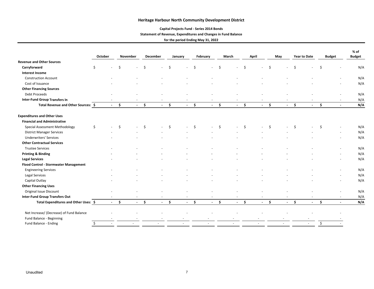## **Capital Projects Fund ‐ Series 2014 Bonds**

## **Statement of Revenue, Expenditures and Changes in Fund Balance**

|                                          |         |                                |            |    |            |         |        |      |            |    |                |           |                   |     |                     |    |              |    |                | % of          |
|------------------------------------------|---------|--------------------------------|------------|----|------------|---------|--------|------|------------|----|----------------|-----------|-------------------|-----|---------------------|----|--------------|----|----------------|---------------|
|                                          | October |                                | November   |    | December   | January |        |      | February   |    | March          |           | April             |     | May                 |    | Year to Date |    | <b>Budget</b>  | <b>Budget</b> |
| <b>Revenue and Other Sources</b>         |         |                                |            |    |            |         |        |      |            |    |                |           |                   |     |                     |    |              |    |                |               |
| Carryforward                             | \$      | Ś.<br>÷.                       |            | \$ |            | Ŝ.      |        |      |            | Ŝ. | $\blacksquare$ | \$        |                   | Ś   |                     |    |              | Ś  |                | N/A           |
| <b>Interest Income</b>                   |         |                                |            |    |            |         |        |      |            |    |                |           |                   |     |                     |    |              |    |                |               |
| <b>Construction Account</b>              |         |                                |            |    |            |         |        |      |            |    |                |           |                   |     |                     |    |              |    |                | N/A           |
| Cost of Issuance                         |         |                                |            |    |            |         |        |      |            |    |                |           |                   |     |                     |    |              |    |                | N/A           |
| <b>Other Financing Sources</b>           |         |                                |            |    |            |         |        |      |            |    |                |           |                   |     |                     |    |              |    |                |               |
| <b>Debt Proceeds</b>                     |         |                                |            |    |            |         |        |      |            |    |                |           |                   |     |                     |    |              |    |                | N/A           |
| <b>Inter-Fund Group Transfers In</b>     |         |                                |            |    |            |         |        |      |            |    |                |           |                   |     |                     |    |              |    |                | N/A           |
| Total Revenue and Other Sources: \$      |         | Ŝ.<br>$\Delta \sim 100$        | $\sim 100$ | Ŝ. | $\sim 100$ | \$      |        | $-5$ | $\sim 100$ | \$ | $\sim$         | $\sim$ \$ | $\Delta \sim 100$ | \$. | $\omega_{\rm{max}}$ | Ŝ. | $\sim$       | Ŝ. | $\sim$         | N/A           |
| <b>Expenditures and Other Uses</b>       |         |                                |            |    |            |         |        |      |            |    |                |           |                   |     |                     |    |              |    |                |               |
| <b>Financial and Administrative</b>      |         |                                |            |    |            |         |        |      |            |    |                |           |                   |     |                     |    |              |    |                |               |
| Special Assessment Methodology           | \$      | \$<br>$\overline{\phantom{a}}$ |            | \$ | $\sim$     | Ŝ.      |        | Ŝ.   |            | Ś  | $\blacksquare$ | Ŝ.        |                   | Ś   |                     | Ś  |              | Ŝ. |                | N/A           |
| <b>District Manager Services</b>         |         |                                |            |    |            |         |        |      |            |    |                |           |                   |     |                     |    |              |    |                | N/A           |
| <b>Underwriters' Services</b>            |         |                                |            |    |            |         |        |      |            |    |                |           |                   |     |                     |    |              |    |                | N/A           |
| <b>Other Contractual Services</b>        |         |                                |            |    |            |         |        |      |            |    |                |           |                   |     |                     |    |              |    |                |               |
| <b>Trustee Services</b>                  |         |                                |            |    |            |         |        |      |            |    |                |           |                   |     |                     |    |              |    |                | N/A           |
| <b>Printing &amp; Binding</b>            |         |                                |            |    |            |         |        |      |            |    |                |           |                   |     |                     |    |              |    |                | N/A           |
| <b>Legal Services</b>                    |         |                                |            |    |            |         |        |      |            |    |                |           |                   |     |                     |    |              |    |                | N/A           |
| Flood Control - Stormwater Management    |         |                                |            |    |            |         |        |      |            |    |                |           |                   |     |                     |    |              |    |                |               |
| <b>Engineering Services</b>              |         |                                |            |    |            |         |        |      |            |    |                |           |                   |     |                     |    |              |    |                | N/A           |
| Legal Services                           |         |                                |            |    |            |         |        |      |            |    |                |           |                   |     |                     |    |              |    |                | N/A           |
| Capital Outlay                           |         |                                |            |    |            |         |        |      |            |    |                |           |                   |     |                     |    |              |    |                | N/A           |
| <b>Other Financing Uses</b>              |         |                                |            |    |            |         |        |      |            |    |                |           |                   |     |                     |    |              |    |                |               |
| Original Issue Discount                  |         |                                |            |    |            |         |        |      |            |    |                |           |                   |     |                     |    |              |    |                | N/A           |
| <b>Inter-Fund Group Transfers Out</b>    |         |                                |            |    |            |         |        |      |            |    |                |           |                   |     |                     |    |              |    |                | N/A           |
| Total Expenditures and Other Uses: \$    |         | Ŝ.<br>$\sim$                   | $\sim$     | \$ | $\sim$     | \$      | $\sim$ | \$   | $\sim$     | Ŝ. | $\mathbf{L}$   | \$        | $\sim 100$        | \$  | $\sim$              | Ŝ. | $\sim$       | \$ | $\blacksquare$ | N/A           |
| Net Increase/ (Decrease) of Fund Balance |         |                                |            |    |            |         |        |      |            |    |                |           |                   |     |                     |    |              |    |                |               |
| Fund Balance - Beginning                 |         |                                |            |    |            |         |        |      |            |    |                |           |                   |     |                     |    |              |    |                |               |
| Fund Balance - Ending                    | \$      |                                |            |    |            |         |        |      |            |    |                |           |                   |     |                     |    |              | \$ |                |               |
|                                          |         |                                |            |    |            |         |        |      |            |    |                |           |                   |     |                     |    |              |    |                |               |